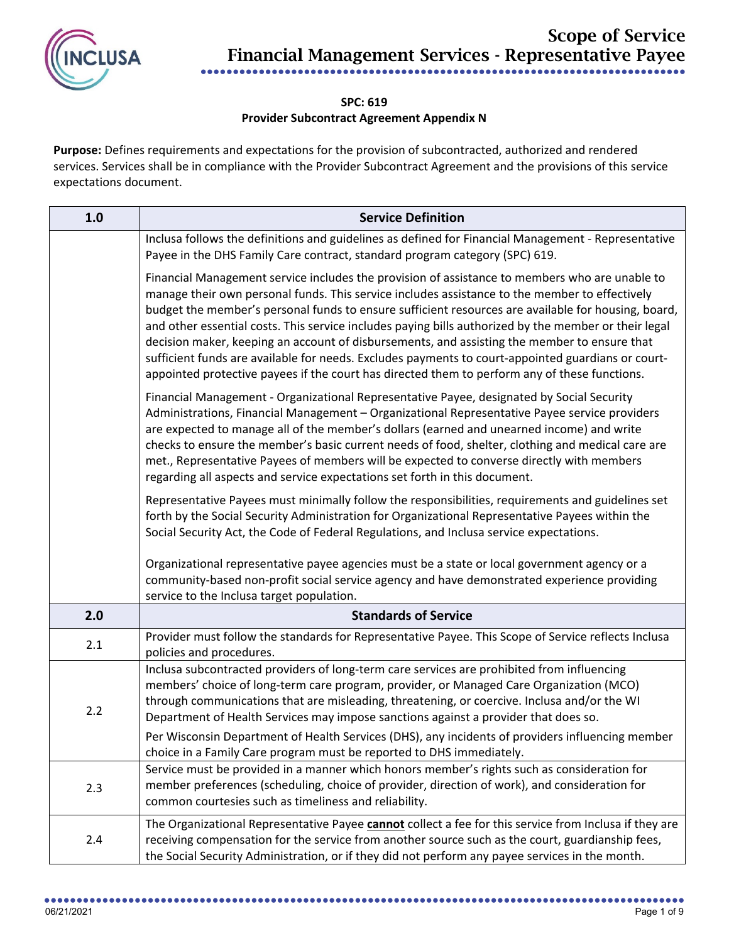

## **SPC: 619 Provider Subcontract Agreement Appendix N**

**Purpose:** Defines requirements and expectations for the provision of subcontracted, authorized and rendered services. Services shall be in compliance with the Provider Subcontract Agreement and the provisions of this service expectations document.

| 1.0 | <b>Service Definition</b>                                                                                                                                                                                                                                                                                                                                                                                                                                                                                                                                                                                                                                                                                               |
|-----|-------------------------------------------------------------------------------------------------------------------------------------------------------------------------------------------------------------------------------------------------------------------------------------------------------------------------------------------------------------------------------------------------------------------------------------------------------------------------------------------------------------------------------------------------------------------------------------------------------------------------------------------------------------------------------------------------------------------------|
|     | Inclusa follows the definitions and guidelines as defined for Financial Management - Representative<br>Payee in the DHS Family Care contract, standard program category (SPC) 619.                                                                                                                                                                                                                                                                                                                                                                                                                                                                                                                                      |
|     | Financial Management service includes the provision of assistance to members who are unable to<br>manage their own personal funds. This service includes assistance to the member to effectively<br>budget the member's personal funds to ensure sufficient resources are available for housing, board,<br>and other essential costs. This service includes paying bills authorized by the member or their legal<br>decision maker, keeping an account of disbursements, and assisting the member to ensure that<br>sufficient funds are available for needs. Excludes payments to court-appointed guardians or court-<br>appointed protective payees if the court has directed them to perform any of these functions. |
|     | Financial Management - Organizational Representative Payee, designated by Social Security<br>Administrations, Financial Management - Organizational Representative Payee service providers<br>are expected to manage all of the member's dollars (earned and unearned income) and write<br>checks to ensure the member's basic current needs of food, shelter, clothing and medical care are<br>met., Representative Payees of members will be expected to converse directly with members<br>regarding all aspects and service expectations set forth in this document.                                                                                                                                                 |
|     | Representative Payees must minimally follow the responsibilities, requirements and guidelines set<br>forth by the Social Security Administration for Organizational Representative Payees within the<br>Social Security Act, the Code of Federal Regulations, and Inclusa service expectations.                                                                                                                                                                                                                                                                                                                                                                                                                         |
|     | Organizational representative payee agencies must be a state or local government agency or a<br>community-based non-profit social service agency and have demonstrated experience providing<br>service to the Inclusa target population.                                                                                                                                                                                                                                                                                                                                                                                                                                                                                |
| 2.0 | <b>Standards of Service</b>                                                                                                                                                                                                                                                                                                                                                                                                                                                                                                                                                                                                                                                                                             |
| 2.1 | Provider must follow the standards for Representative Payee. This Scope of Service reflects Inclusa<br>policies and procedures.                                                                                                                                                                                                                                                                                                                                                                                                                                                                                                                                                                                         |
| 2.2 | Inclusa subcontracted providers of long-term care services are prohibited from influencing<br>members' choice of long-term care program, provider, or Managed Care Organization (MCO)<br>through communications that are misleading, threatening, or coercive. Inclusa and/or the WI<br>Department of Health Services may impose sanctions against a provider that does so.<br>Per Wisconsin Department of Health Services (DHS), any incidents of providers influencing member<br>choice in a Family Care program must be reported to DHS immediately.                                                                                                                                                                 |
| 2.3 | Service must be provided in a manner which honors member's rights such as consideration for<br>member preferences (scheduling, choice of provider, direction of work), and consideration for<br>common courtesies such as timeliness and reliability.                                                                                                                                                                                                                                                                                                                                                                                                                                                                   |
| 2.4 | The Organizational Representative Payee cannot collect a fee for this service from Inclusa if they are<br>receiving compensation for the service from another source such as the court, guardianship fees,<br>the Social Security Administration, or if they did not perform any payee services in the month.                                                                                                                                                                                                                                                                                                                                                                                                           |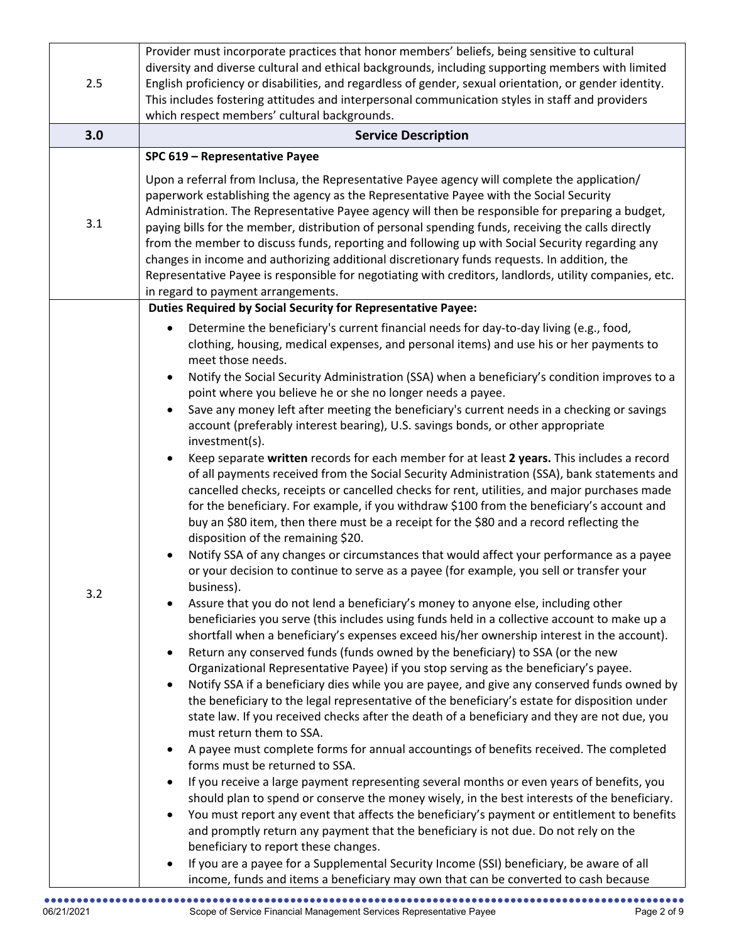| 2.5 | Provider must incorporate practices that honor members' beliefs, being sensitive to cultural<br>diversity and diverse cultural and ethical backgrounds, including supporting members with limited<br>English proficiency or disabilities, and regardless of gender, sexual orientation, or gender identity.<br>This includes fostering attitudes and interpersonal communication styles in staff and providers<br>which respect members' cultural backgrounds.                                                                                                                                                                                                                                                                                                                                                                                                                                                                                                                                                                                                                                                                                                                                                                                                                                                                                                                                                                                                                                                                                                                                                                                                                                                                                                                                                                                                                                                                                                                                                                                                                                                                                                                                                                                                                                                                                                                                                                                                                                                                                                                                                                                                                                                                                                                                                                                                                                                                                                                       |
|-----|--------------------------------------------------------------------------------------------------------------------------------------------------------------------------------------------------------------------------------------------------------------------------------------------------------------------------------------------------------------------------------------------------------------------------------------------------------------------------------------------------------------------------------------------------------------------------------------------------------------------------------------------------------------------------------------------------------------------------------------------------------------------------------------------------------------------------------------------------------------------------------------------------------------------------------------------------------------------------------------------------------------------------------------------------------------------------------------------------------------------------------------------------------------------------------------------------------------------------------------------------------------------------------------------------------------------------------------------------------------------------------------------------------------------------------------------------------------------------------------------------------------------------------------------------------------------------------------------------------------------------------------------------------------------------------------------------------------------------------------------------------------------------------------------------------------------------------------------------------------------------------------------------------------------------------------------------------------------------------------------------------------------------------------------------------------------------------------------------------------------------------------------------------------------------------------------------------------------------------------------------------------------------------------------------------------------------------------------------------------------------------------------------------------------------------------------------------------------------------------------------------------------------------------------------------------------------------------------------------------------------------------------------------------------------------------------------------------------------------------------------------------------------------------------------------------------------------------------------------------------------------------------------------------------------------------------------------------------------------------|
| 3.0 | <b>Service Description</b>                                                                                                                                                                                                                                                                                                                                                                                                                                                                                                                                                                                                                                                                                                                                                                                                                                                                                                                                                                                                                                                                                                                                                                                                                                                                                                                                                                                                                                                                                                                                                                                                                                                                                                                                                                                                                                                                                                                                                                                                                                                                                                                                                                                                                                                                                                                                                                                                                                                                                                                                                                                                                                                                                                                                                                                                                                                                                                                                                           |
| 3.1 | SPC 619 - Representative Payee<br>Upon a referral from Inclusa, the Representative Payee agency will complete the application/<br>paperwork establishing the agency as the Representative Payee with the Social Security<br>Administration. The Representative Payee agency will then be responsible for preparing a budget,<br>paying bills for the member, distribution of personal spending funds, receiving the calls directly<br>from the member to discuss funds, reporting and following up with Social Security regarding any<br>changes in income and authorizing additional discretionary funds requests. In addition, the<br>Representative Payee is responsible for negotiating with creditors, landlords, utility companies, etc.<br>in regard to payment arrangements.                                                                                                                                                                                                                                                                                                                                                                                                                                                                                                                                                                                                                                                                                                                                                                                                                                                                                                                                                                                                                                                                                                                                                                                                                                                                                                                                                                                                                                                                                                                                                                                                                                                                                                                                                                                                                                                                                                                                                                                                                                                                                                                                                                                                 |
| 3.2 | <b>Duties Required by Social Security for Representative Payee:</b><br>Determine the beneficiary's current financial needs for day-to-day living (e.g., food,<br>$\bullet$<br>clothing, housing, medical expenses, and personal items) and use his or her payments to<br>meet those needs.<br>Notify the Social Security Administration (SSA) when a beneficiary's condition improves to a<br>$\bullet$<br>point where you believe he or she no longer needs a payee.<br>Save any money left after meeting the beneficiary's current needs in a checking or savings<br>account (preferably interest bearing), U.S. savings bonds, or other appropriate<br>investment(s).<br>Keep separate written records for each member for at least 2 years. This includes a record<br>of all payments received from the Social Security Administration (SSA), bank statements and<br>cancelled checks, receipts or cancelled checks for rent, utilities, and major purchases made<br>for the beneficiary. For example, if you withdraw \$100 from the beneficiary's account and<br>buy an \$80 item, then there must be a receipt for the \$80 and a record reflecting the<br>disposition of the remaining \$20.<br>Notify SSA of any changes or circumstances that would affect your performance as a payee<br>or your decision to continue to serve as a payee (for example, you sell or transfer your<br>business).<br>Assure that you do not lend a beneficiary's money to anyone else, including other<br>beneficiaries you serve (this includes using funds held in a collective account to make up a<br>shortfall when a beneficiary's expenses exceed his/her ownership interest in the account).<br>Return any conserved funds (funds owned by the beneficiary) to SSA (or the new<br>Organizational Representative Payee) if you stop serving as the beneficiary's payee.<br>Notify SSA if a beneficiary dies while you are payee, and give any conserved funds owned by<br>$\bullet$<br>the beneficiary to the legal representative of the beneficiary's estate for disposition under<br>state law. If you received checks after the death of a beneficiary and they are not due, you<br>must return them to SSA.<br>A payee must complete forms for annual accountings of benefits received. The completed<br>$\bullet$<br>forms must be returned to SSA.<br>If you receive a large payment representing several months or even years of benefits, you<br>should plan to spend or conserve the money wisely, in the best interests of the beneficiary.<br>You must report any event that affects the beneficiary's payment or entitlement to benefits<br>and promptly return any payment that the beneficiary is not due. Do not rely on the<br>beneficiary to report these changes.<br>If you are a payee for a Supplemental Security Income (SSI) beneficiary, be aware of all<br>$\bullet$<br>income, funds and items a beneficiary may own that can be converted to cash because |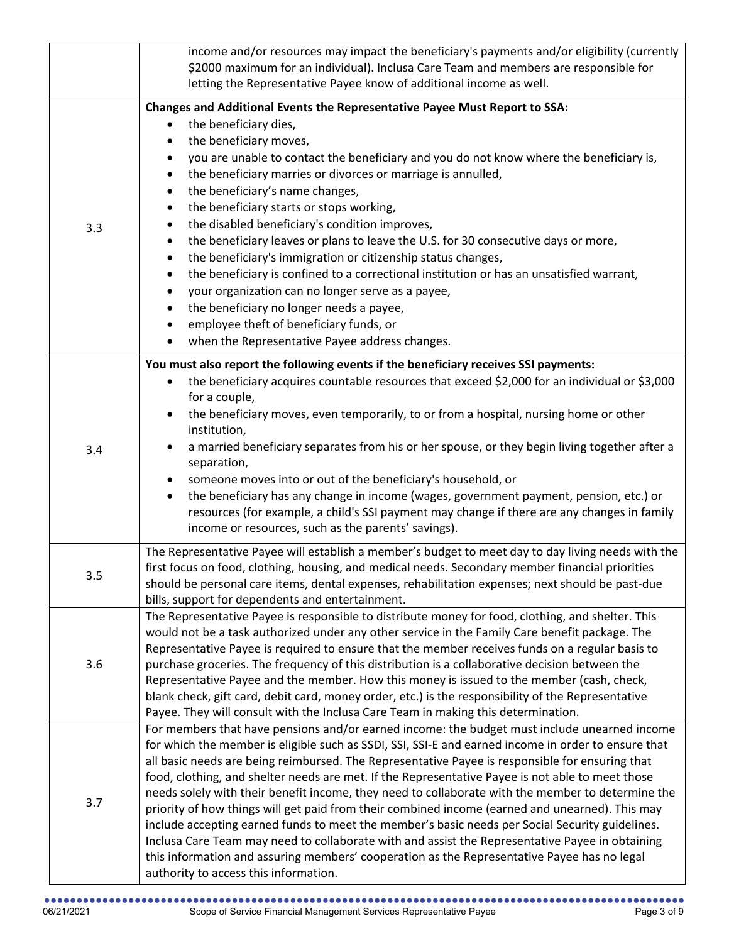|     | income and/or resources may impact the beneficiary's payments and/or eligibility (currently<br>\$2000 maximum for an individual). Inclusa Care Team and members are responsible for<br>letting the Representative Payee know of additional income as well.                                                                                                                                                                                                                                                                                                                                                                                                                                                                                                                                                                                                                                                                                                                                                                            |
|-----|---------------------------------------------------------------------------------------------------------------------------------------------------------------------------------------------------------------------------------------------------------------------------------------------------------------------------------------------------------------------------------------------------------------------------------------------------------------------------------------------------------------------------------------------------------------------------------------------------------------------------------------------------------------------------------------------------------------------------------------------------------------------------------------------------------------------------------------------------------------------------------------------------------------------------------------------------------------------------------------------------------------------------------------|
| 3.3 | Changes and Additional Events the Representative Payee Must Report to SSA:<br>the beneficiary dies,<br>the beneficiary moves,<br>$\bullet$<br>you are unable to contact the beneficiary and you do not know where the beneficiary is,<br>$\bullet$<br>the beneficiary marries or divorces or marriage is annulled,<br>$\bullet$<br>the beneficiary's name changes,<br>$\bullet$<br>the beneficiary starts or stops working,<br>$\bullet$<br>the disabled beneficiary's condition improves,<br>$\bullet$<br>the beneficiary leaves or plans to leave the U.S. for 30 consecutive days or more,<br>$\bullet$<br>the beneficiary's immigration or citizenship status changes,<br>$\bullet$<br>the beneficiary is confined to a correctional institution or has an unsatisfied warrant,<br>$\bullet$<br>your organization can no longer serve as a payee,<br>$\bullet$<br>the beneficiary no longer needs a payee,<br>$\bullet$<br>employee theft of beneficiary funds, or<br>when the Representative Payee address changes.<br>$\bullet$ |
| 3.4 | You must also report the following events if the beneficiary receives SSI payments:<br>the beneficiary acquires countable resources that exceed \$2,000 for an individual or \$3,000<br>$\bullet$<br>for a couple,<br>the beneficiary moves, even temporarily, to or from a hospital, nursing home or other<br>institution,<br>a married beneficiary separates from his or her spouse, or they begin living together after a<br>separation,<br>someone moves into or out of the beneficiary's household, or<br>the beneficiary has any change in income (wages, government payment, pension, etc.) or<br>$\bullet$<br>resources (for example, a child's SSI payment may change if there are any changes in family<br>income or resources, such as the parents' savings).                                                                                                                                                                                                                                                              |
| 3.5 | The Representative Payee will establish a member's budget to meet day to day living needs with the<br>first focus on food, clothing, housing, and medical needs. Secondary member financial priorities<br>should be personal care items, dental expenses, rehabilitation expenses; next should be past-due<br>bills, support for dependents and entertainment.                                                                                                                                                                                                                                                                                                                                                                                                                                                                                                                                                                                                                                                                        |
| 3.6 | The Representative Payee is responsible to distribute money for food, clothing, and shelter. This<br>would not be a task authorized under any other service in the Family Care benefit package. The<br>Representative Payee is required to ensure that the member receives funds on a regular basis to<br>purchase groceries. The frequency of this distribution is a collaborative decision between the<br>Representative Payee and the member. How this money is issued to the member (cash, check,<br>blank check, gift card, debit card, money order, etc.) is the responsibility of the Representative<br>Payee. They will consult with the Inclusa Care Team in making this determination.                                                                                                                                                                                                                                                                                                                                      |
| 3.7 | For members that have pensions and/or earned income: the budget must include unearned income<br>for which the member is eligible such as SSDI, SSI, SSI-E and earned income in order to ensure that<br>all basic needs are being reimbursed. The Representative Payee is responsible for ensuring that<br>food, clothing, and shelter needs are met. If the Representative Payee is not able to meet those<br>needs solely with their benefit income, they need to collaborate with the member to determine the<br>priority of how things will get paid from their combined income (earned and unearned). This may<br>include accepting earned funds to meet the member's basic needs per Social Security guidelines.<br>Inclusa Care Team may need to collaborate with and assist the Representative Payee in obtaining<br>this information and assuring members' cooperation as the Representative Payee has no legal<br>authority to access this information.                                                                      |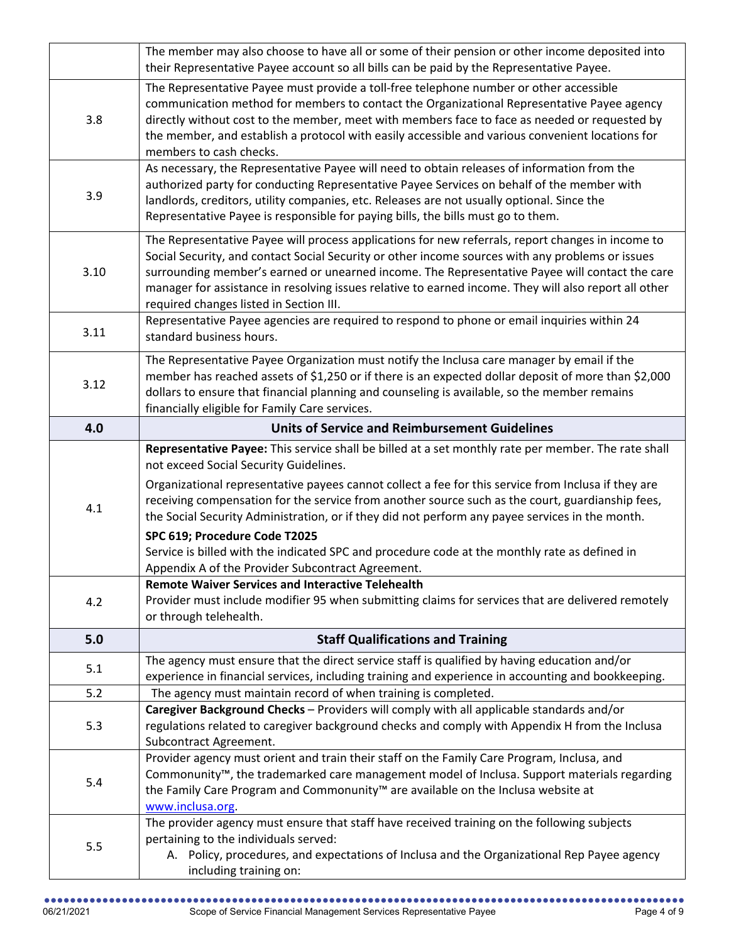|      | The member may also choose to have all or some of their pension or other income deposited into                                                                                                                                                                                                                                                                                                                                                              |
|------|-------------------------------------------------------------------------------------------------------------------------------------------------------------------------------------------------------------------------------------------------------------------------------------------------------------------------------------------------------------------------------------------------------------------------------------------------------------|
|      | their Representative Payee account so all bills can be paid by the Representative Payee.                                                                                                                                                                                                                                                                                                                                                                    |
| 3.8  | The Representative Payee must provide a toll-free telephone number or other accessible<br>communication method for members to contact the Organizational Representative Payee agency<br>directly without cost to the member, meet with members face to face as needed or requested by<br>the member, and establish a protocol with easily accessible and various convenient locations for<br>members to cash checks.                                        |
| 3.9  | As necessary, the Representative Payee will need to obtain releases of information from the<br>authorized party for conducting Representative Payee Services on behalf of the member with<br>landlords, creditors, utility companies, etc. Releases are not usually optional. Since the<br>Representative Payee is responsible for paying bills, the bills must go to them.                                                                                 |
| 3.10 | The Representative Payee will process applications for new referrals, report changes in income to<br>Social Security, and contact Social Security or other income sources with any problems or issues<br>surrounding member's earned or unearned income. The Representative Payee will contact the care<br>manager for assistance in resolving issues relative to earned income. They will also report all other<br>required changes listed in Section III. |
| 3.11 | Representative Payee agencies are required to respond to phone or email inquiries within 24<br>standard business hours.                                                                                                                                                                                                                                                                                                                                     |
| 3.12 | The Representative Payee Organization must notify the Inclusa care manager by email if the<br>member has reached assets of \$1,250 or if there is an expected dollar deposit of more than \$2,000<br>dollars to ensure that financial planning and counseling is available, so the member remains<br>financially eligible for Family Care services.                                                                                                         |
| 4.0  | <b>Units of Service and Reimbursement Guidelines</b>                                                                                                                                                                                                                                                                                                                                                                                                        |
| 4.1  | Representative Payee: This service shall be billed at a set monthly rate per member. The rate shall<br>not exceed Social Security Guidelines.<br>Organizational representative payees cannot collect a fee for this service from Inclusa if they are<br>receiving compensation for the service from another source such as the court, guardianship fees,<br>the Social Security Administration, or if they did not perform any payee services in the month. |
|      | SPC 619; Procedure Code T2025<br>Service is billed with the indicated SPC and procedure code at the monthly rate as defined in<br>Appendix A of the Provider Subcontract Agreement.                                                                                                                                                                                                                                                                         |
| 4.2  | <b>Remote Waiver Services and Interactive Telehealth</b><br>Provider must include modifier 95 when submitting claims for services that are delivered remotely<br>or through telehealth.                                                                                                                                                                                                                                                                     |
| 5.0  | <b>Staff Qualifications and Training</b>                                                                                                                                                                                                                                                                                                                                                                                                                    |
| 5.1  | The agency must ensure that the direct service staff is qualified by having education and/or<br>experience in financial services, including training and experience in accounting and bookkeeping.                                                                                                                                                                                                                                                          |
| 5.2  | The agency must maintain record of when training is completed.                                                                                                                                                                                                                                                                                                                                                                                              |
| 5.3  | Caregiver Background Checks - Providers will comply with all applicable standards and/or<br>regulations related to caregiver background checks and comply with Appendix H from the Inclusa<br>Subcontract Agreement.                                                                                                                                                                                                                                        |
| 5.4  | Provider agency must orient and train their staff on the Family Care Program, Inclusa, and<br>Commonunity™, the trademarked care management model of Inclusa. Support materials regarding<br>the Family Care Program and Commonunity <sup>™</sup> are available on the Inclusa website at<br>www.inclusa.org.                                                                                                                                               |
| 5.5  | The provider agency must ensure that staff have received training on the following subjects<br>pertaining to the individuals served:<br>A. Policy, procedures, and expectations of Inclusa and the Organizational Rep Payee agency<br>including training on:                                                                                                                                                                                                |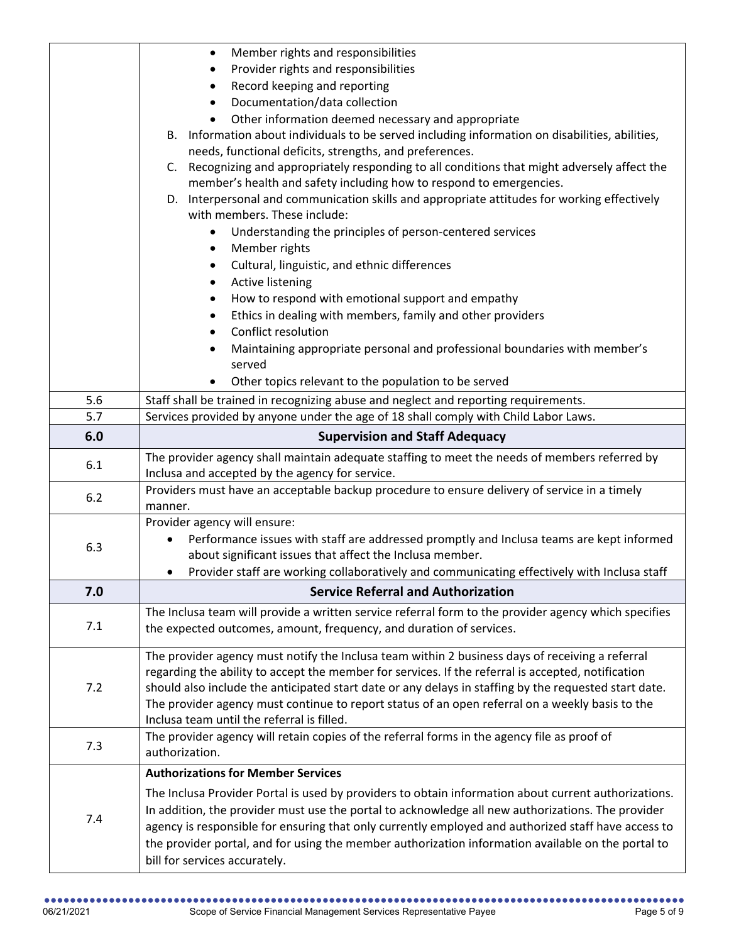|     | Member rights and responsibilities<br>$\bullet$                                                                                                                                                          |
|-----|----------------------------------------------------------------------------------------------------------------------------------------------------------------------------------------------------------|
|     | Provider rights and responsibilities<br>٠                                                                                                                                                                |
|     | Record keeping and reporting<br>٠                                                                                                                                                                        |
|     | Documentation/data collection<br>$\bullet$                                                                                                                                                               |
|     | Other information deemed necessary and appropriate<br>$\bullet$                                                                                                                                          |
|     | B. Information about individuals to be served including information on disabilities, abilities,                                                                                                          |
|     | needs, functional deficits, strengths, and preferences.                                                                                                                                                  |
|     | C. Recognizing and appropriately responding to all conditions that might adversely affect the                                                                                                            |
|     | member's health and safety including how to respond to emergencies.                                                                                                                                      |
|     | D. Interpersonal and communication skills and appropriate attitudes for working effectively                                                                                                              |
|     | with members. These include:                                                                                                                                                                             |
|     | Understanding the principles of person-centered services<br>$\bullet$                                                                                                                                    |
|     | Member rights<br>٠                                                                                                                                                                                       |
|     | Cultural, linguistic, and ethnic differences<br>٠                                                                                                                                                        |
|     | <b>Active listening</b><br>٠                                                                                                                                                                             |
|     | How to respond with emotional support and empathy<br>٠                                                                                                                                                   |
|     | Ethics in dealing with members, family and other providers<br>٠<br>Conflict resolution                                                                                                                   |
|     | $\bullet$                                                                                                                                                                                                |
|     | Maintaining appropriate personal and professional boundaries with member's<br>served                                                                                                                     |
|     | Other topics relevant to the population to be served                                                                                                                                                     |
| 5.6 | Staff shall be trained in recognizing abuse and neglect and reporting requirements.                                                                                                                      |
| 5.7 | Services provided by anyone under the age of 18 shall comply with Child Labor Laws.                                                                                                                      |
| 6.0 | <b>Supervision and Staff Adequacy</b>                                                                                                                                                                    |
|     |                                                                                                                                                                                                          |
|     |                                                                                                                                                                                                          |
| 6.1 | The provider agency shall maintain adequate staffing to meet the needs of members referred by                                                                                                            |
|     | Inclusa and accepted by the agency for service.                                                                                                                                                          |
| 6.2 | Providers must have an acceptable backup procedure to ensure delivery of service in a timely<br>manner.                                                                                                  |
|     | Provider agency will ensure:                                                                                                                                                                             |
|     | Performance issues with staff are addressed promptly and Inclusa teams are kept informed                                                                                                                 |
| 6.3 | about significant issues that affect the Inclusa member.                                                                                                                                                 |
|     | Provider staff are working collaboratively and communicating effectively with Inclusa staff                                                                                                              |
| 7.0 | <b>Service Referral and Authorization</b>                                                                                                                                                                |
|     | The Inclusa team will provide a written service referral form to the provider agency which specifies                                                                                                     |
| 7.1 | the expected outcomes, amount, frequency, and duration of services.                                                                                                                                      |
|     |                                                                                                                                                                                                          |
|     | The provider agency must notify the Inclusa team within 2 business days of receiving a referral                                                                                                          |
|     | regarding the ability to accept the member for services. If the referral is accepted, notification                                                                                                       |
| 7.2 | should also include the anticipated start date or any delays in staffing by the requested start date.                                                                                                    |
|     | The provider agency must continue to report status of an open referral on a weekly basis to the<br>Inclusa team until the referral is filled.                                                            |
|     |                                                                                                                                                                                                          |
| 7.3 | The provider agency will retain copies of the referral forms in the agency file as proof of<br>authorization.                                                                                            |
|     | <b>Authorizations for Member Services</b>                                                                                                                                                                |
|     | The Inclusa Provider Portal is used by providers to obtain information about current authorizations.                                                                                                     |
|     |                                                                                                                                                                                                          |
| 7.4 | In addition, the provider must use the portal to acknowledge all new authorizations. The provider<br>agency is responsible for ensuring that only currently employed and authorized staff have access to |
|     | the provider portal, and for using the member authorization information available on the portal to                                                                                                       |
|     | bill for services accurately.                                                                                                                                                                            |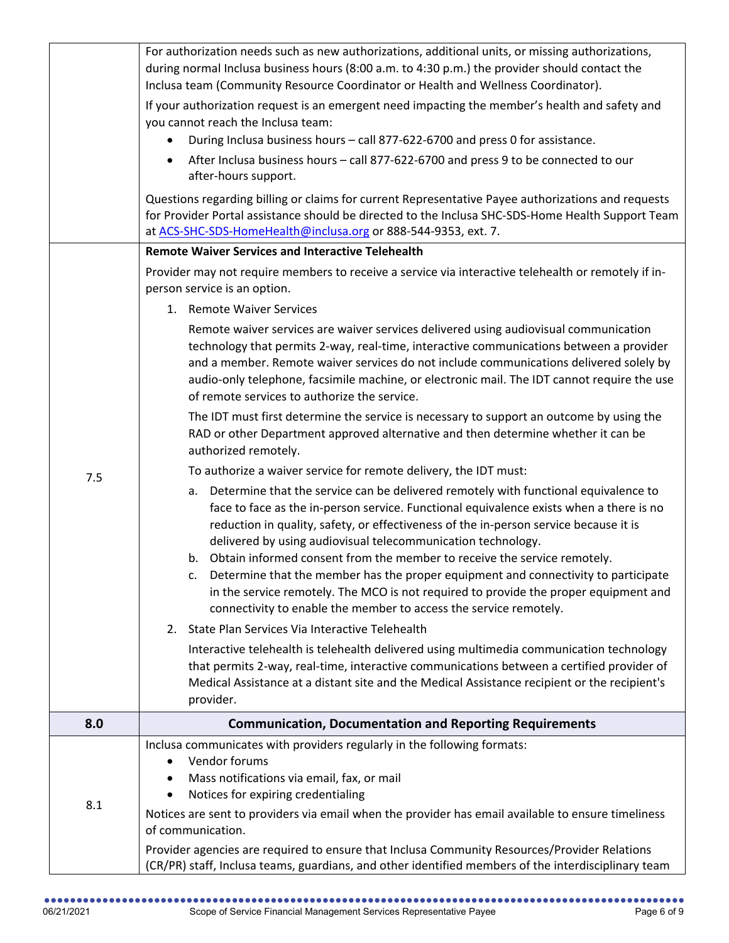|     | For authorization needs such as new authorizations, additional units, or missing authorizations,<br>during normal Inclusa business hours (8:00 a.m. to 4:30 p.m.) the provider should contact the<br>Inclusa team (Community Resource Coordinator or Health and Wellness Coordinator).                                                                                                                                                                                                                                                                                                                                                                                                |
|-----|---------------------------------------------------------------------------------------------------------------------------------------------------------------------------------------------------------------------------------------------------------------------------------------------------------------------------------------------------------------------------------------------------------------------------------------------------------------------------------------------------------------------------------------------------------------------------------------------------------------------------------------------------------------------------------------|
|     | If your authorization request is an emergent need impacting the member's health and safety and<br>you cannot reach the Inclusa team:                                                                                                                                                                                                                                                                                                                                                                                                                                                                                                                                                  |
|     | During Inclusa business hours - call 877-622-6700 and press 0 for assistance.                                                                                                                                                                                                                                                                                                                                                                                                                                                                                                                                                                                                         |
|     | After Inclusa business hours - call 877-622-6700 and press 9 to be connected to our<br>after-hours support.                                                                                                                                                                                                                                                                                                                                                                                                                                                                                                                                                                           |
|     | Questions regarding billing or claims for current Representative Payee authorizations and requests<br>for Provider Portal assistance should be directed to the Inclusa SHC-SDS-Home Health Support Team<br>at ACS-SHC-SDS-HomeHealth@inclusa.org or 888-544-9353, ext. 7.                                                                                                                                                                                                                                                                                                                                                                                                             |
|     | <b>Remote Waiver Services and Interactive Telehealth</b>                                                                                                                                                                                                                                                                                                                                                                                                                                                                                                                                                                                                                              |
|     | Provider may not require members to receive a service via interactive telehealth or remotely if in-<br>person service is an option.                                                                                                                                                                                                                                                                                                                                                                                                                                                                                                                                                   |
|     | 1. Remote Waiver Services                                                                                                                                                                                                                                                                                                                                                                                                                                                                                                                                                                                                                                                             |
|     | Remote waiver services are waiver services delivered using audiovisual communication<br>technology that permits 2-way, real-time, interactive communications between a provider<br>and a member. Remote waiver services do not include communications delivered solely by<br>audio-only telephone, facsimile machine, or electronic mail. The IDT cannot require the use<br>of remote services to authorize the service.                                                                                                                                                                                                                                                              |
|     | The IDT must first determine the service is necessary to support an outcome by using the<br>RAD or other Department approved alternative and then determine whether it can be<br>authorized remotely.                                                                                                                                                                                                                                                                                                                                                                                                                                                                                 |
| 7.5 | To authorize a waiver service for remote delivery, the IDT must:                                                                                                                                                                                                                                                                                                                                                                                                                                                                                                                                                                                                                      |
|     | Determine that the service can be delivered remotely with functional equivalence to<br>а.<br>face to face as the in-person service. Functional equivalence exists when a there is no<br>reduction in quality, safety, or effectiveness of the in-person service because it is<br>delivered by using audiovisual telecommunication technology.<br>b. Obtain informed consent from the member to receive the service remotely.<br>Determine that the member has the proper equipment and connectivity to participate<br>c.<br>in the service remotely. The MCO is not required to provide the proper equipment and<br>connectivity to enable the member to access the service remotely. |
|     | State Plan Services Via Interactive Telehealth<br>2.                                                                                                                                                                                                                                                                                                                                                                                                                                                                                                                                                                                                                                  |
|     | Interactive telehealth is telehealth delivered using multimedia communication technology<br>that permits 2-way, real-time, interactive communications between a certified provider of<br>Medical Assistance at a distant site and the Medical Assistance recipient or the recipient's<br>provider.                                                                                                                                                                                                                                                                                                                                                                                    |
| 8.0 | <b>Communication, Documentation and Reporting Requirements</b>                                                                                                                                                                                                                                                                                                                                                                                                                                                                                                                                                                                                                        |
| 8.1 | Inclusa communicates with providers regularly in the following formats:<br>Vendor forums<br>Mass notifications via email, fax, or mail<br>Notices for expiring credentialing<br>Notices are sent to providers via email when the provider has email available to ensure timeliness<br>of communication.                                                                                                                                                                                                                                                                                                                                                                               |
|     | Provider agencies are required to ensure that Inclusa Community Resources/Provider Relations<br>(CR/PR) staff, Inclusa teams, guardians, and other identified members of the interdisciplinary team                                                                                                                                                                                                                                                                                                                                                                                                                                                                                   |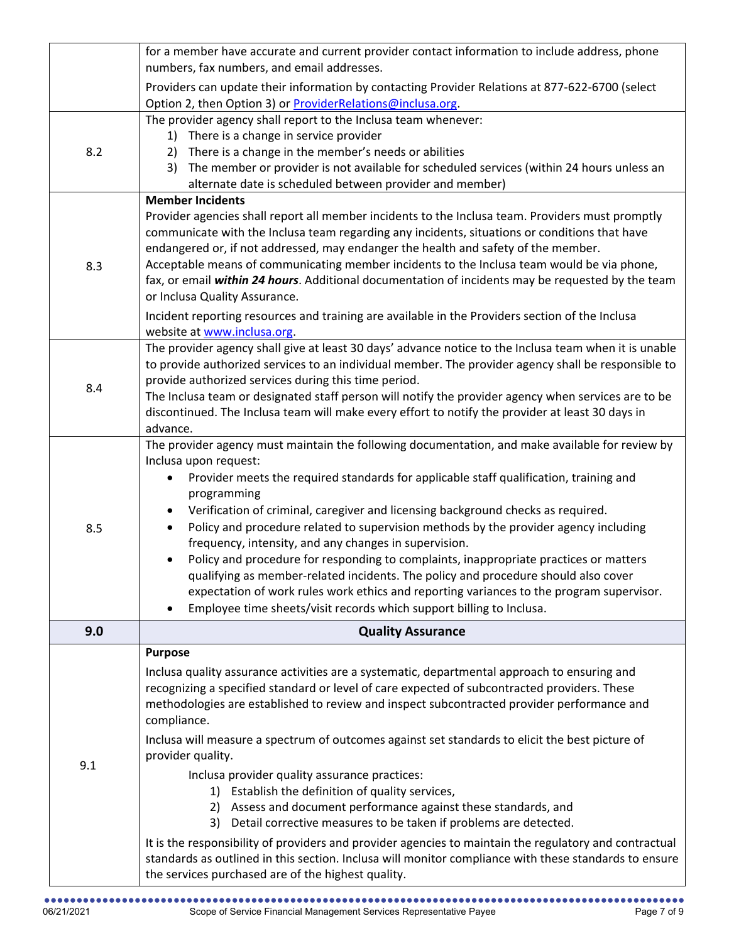|     | for a member have accurate and current provider contact information to include address, phone                                                                               |
|-----|-----------------------------------------------------------------------------------------------------------------------------------------------------------------------------|
|     | numbers, fax numbers, and email addresses.                                                                                                                                  |
|     | Providers can update their information by contacting Provider Relations at 877-622-6700 (select<br>Option 2, then Option 3) or <b>ProviderRelations@inclusa.org</b> .       |
|     | The provider agency shall report to the Inclusa team whenever:                                                                                                              |
|     | There is a change in service provider<br>1)                                                                                                                                 |
| 8.2 | There is a change in the member's needs or abilities<br>2)                                                                                                                  |
|     | The member or provider is not available for scheduled services (within 24 hours unless an<br>3)                                                                             |
|     | alternate date is scheduled between provider and member)<br><b>Member Incidents</b>                                                                                         |
|     | Provider agencies shall report all member incidents to the Inclusa team. Providers must promptly                                                                            |
|     | communicate with the Inclusa team regarding any incidents, situations or conditions that have                                                                               |
|     | endangered or, if not addressed, may endanger the health and safety of the member.                                                                                          |
| 8.3 | Acceptable means of communicating member incidents to the Inclusa team would be via phone,                                                                                  |
|     | fax, or email within 24 hours. Additional documentation of incidents may be requested by the team                                                                           |
|     | or Inclusa Quality Assurance.                                                                                                                                               |
|     | Incident reporting resources and training are available in the Providers section of the Inclusa<br>website at www.inclusa.org.                                              |
|     | The provider agency shall give at least 30 days' advance notice to the Inclusa team when it is unable                                                                       |
|     | to provide authorized services to an individual member. The provider agency shall be responsible to                                                                         |
| 8.4 | provide authorized services during this time period.                                                                                                                        |
|     | The Inclusa team or designated staff person will notify the provider agency when services are to be                                                                         |
|     | discontinued. The Inclusa team will make every effort to notify the provider at least 30 days in<br>advance.                                                                |
|     | The provider agency must maintain the following documentation, and make available for review by                                                                             |
|     | Inclusa upon request:                                                                                                                                                       |
|     | Provider meets the required standards for applicable staff qualification, training and                                                                                      |
|     | programming                                                                                                                                                                 |
|     | Verification of criminal, caregiver and licensing background checks as required.<br>$\bullet$                                                                               |
| 8.5 | Policy and procedure related to supervision methods by the provider agency including                                                                                        |
|     | frequency, intensity, and any changes in supervision.                                                                                                                       |
|     | Policy and procedure for responding to complaints, inappropriate practices or matters<br>qualifying as member-related incidents. The policy and procedure should also cover |
|     | expectation of work rules work ethics and reporting variances to the program supervisor.                                                                                    |
|     | Employee time sheets/visit records which support billing to Inclusa.                                                                                                        |
| 9.0 | <b>Quality Assurance</b>                                                                                                                                                    |
|     | <b>Purpose</b>                                                                                                                                                              |
|     | Inclusa quality assurance activities are a systematic, departmental approach to ensuring and                                                                                |
|     | recognizing a specified standard or level of care expected of subcontracted providers. These                                                                                |
|     | methodologies are established to review and inspect subcontracted provider performance and                                                                                  |
|     | compliance.                                                                                                                                                                 |
|     | Inclusa will measure a spectrum of outcomes against set standards to elicit the best picture of                                                                             |
| 9.1 | provider quality.                                                                                                                                                           |
|     | Inclusa provider quality assurance practices:<br>1) Establish the definition of quality services,                                                                           |
|     | 2) Assess and document performance against these standards, and                                                                                                             |
|     | Detail corrective measures to be taken if problems are detected.<br>3)                                                                                                      |
|     | It is the responsibility of providers and provider agencies to maintain the regulatory and contractual                                                                      |
|     | standards as outlined in this section. Inclusa will monitor compliance with these standards to ensure                                                                       |
|     | the services purchased are of the highest quality.                                                                                                                          |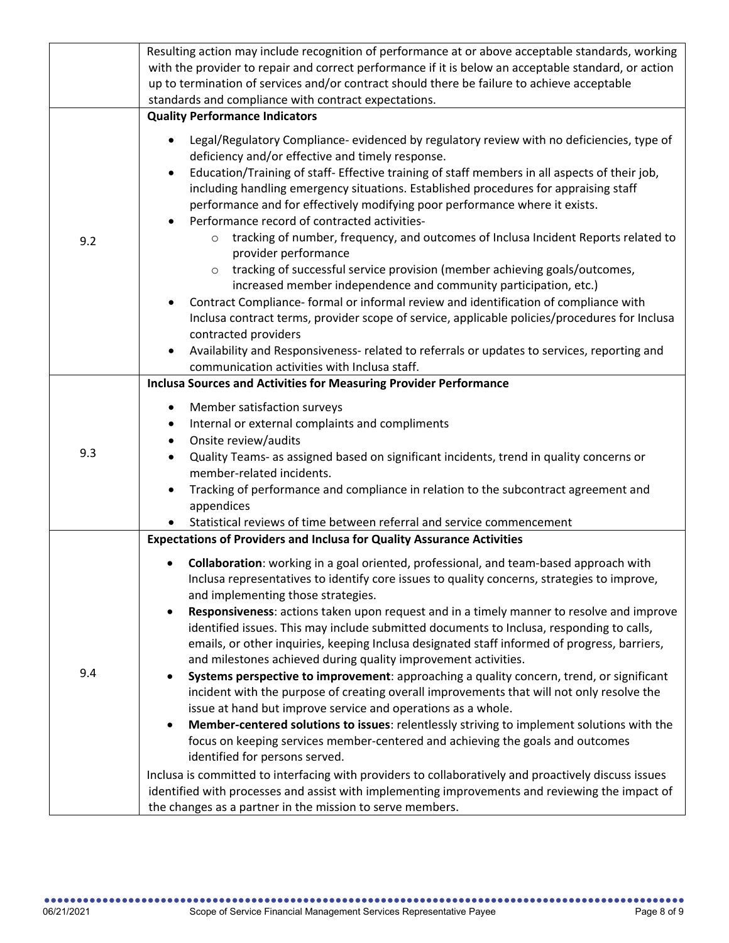|     | Resulting action may include recognition of performance at or above acceptable standards, working                                                                                          |
|-----|--------------------------------------------------------------------------------------------------------------------------------------------------------------------------------------------|
|     |                                                                                                                                                                                            |
|     | with the provider to repair and correct performance if it is below an acceptable standard, or action                                                                                       |
|     | up to termination of services and/or contract should there be failure to achieve acceptable                                                                                                |
|     | standards and compliance with contract expectations.                                                                                                                                       |
|     | <b>Quality Performance Indicators</b>                                                                                                                                                      |
|     | Legal/Regulatory Compliance- evidenced by regulatory review with no deficiencies, type of<br>deficiency and/or effective and timely response.                                              |
|     | Education/Training of staff- Effective training of staff members in all aspects of their job,<br>٠<br>including handling emergency situations. Established procedures for appraising staff |
|     | performance and for effectively modifying poor performance where it exists.<br>Performance record of contracted activities-                                                                |
| 9.2 | tracking of number, frequency, and outcomes of Inclusa Incident Reports related to<br>$\circ$<br>provider performance                                                                      |
|     | tracking of successful service provision (member achieving goals/outcomes,<br>increased member independence and community participation, etc.)                                             |
|     | Contract Compliance- formal or informal review and identification of compliance with                                                                                                       |
|     | Inclusa contract terms, provider scope of service, applicable policies/procedures for Inclusa                                                                                              |
|     | contracted providers                                                                                                                                                                       |
|     | Availability and Responsiveness- related to referrals or updates to services, reporting and                                                                                                |
|     | communication activities with Inclusa staff.                                                                                                                                               |
|     | <b>Inclusa Sources and Activities for Measuring Provider Performance</b>                                                                                                                   |
|     |                                                                                                                                                                                            |
|     | Member satisfaction surveys<br>٠                                                                                                                                                           |
|     | Internal or external complaints and compliments<br>٠                                                                                                                                       |
|     | Onsite review/audits<br>$\bullet$                                                                                                                                                          |
| 9.3 | Quality Teams- as assigned based on significant incidents, trend in quality concerns or                                                                                                    |
|     | member-related incidents.                                                                                                                                                                  |
|     | Tracking of performance and compliance in relation to the subcontract agreement and                                                                                                        |
|     | appendices                                                                                                                                                                                 |
|     | Statistical reviews of time between referral and service commencement                                                                                                                      |
|     | <b>Expectations of Providers and Inclusa for Quality Assurance Activities</b>                                                                                                              |
|     |                                                                                                                                                                                            |
|     | Collaboration: working in a goal oriented, professional, and team-based approach with                                                                                                      |
|     | Inclusa representatives to identify core issues to quality concerns, strategies to improve,                                                                                                |
|     | and implementing those strategies.<br>Responsiveness: actions taken upon request and in a timely manner to resolve and improve                                                             |
|     | identified issues. This may include submitted documents to Inclusa, responding to calls,                                                                                                   |
|     |                                                                                                                                                                                            |
| 9.4 | emails, or other inquiries, keeping Inclusa designated staff informed of progress, barriers,                                                                                               |
|     | and milestones achieved during quality improvement activities.                                                                                                                             |
|     | Systems perspective to improvement: approaching a quality concern, trend, or significant                                                                                                   |
|     | incident with the purpose of creating overall improvements that will not only resolve the                                                                                                  |
|     | issue at hand but improve service and operations as a whole.                                                                                                                               |
|     | Member-centered solutions to issues: relentlessly striving to implement solutions with the                                                                                                 |
|     | focus on keeping services member-centered and achieving the goals and outcomes                                                                                                             |
|     | identified for persons served.                                                                                                                                                             |
|     | Inclusa is committed to interfacing with providers to collaboratively and proactively discuss issues                                                                                       |
|     | identified with processes and assist with implementing improvements and reviewing the impact of                                                                                            |
|     | the changes as a partner in the mission to serve members.                                                                                                                                  |